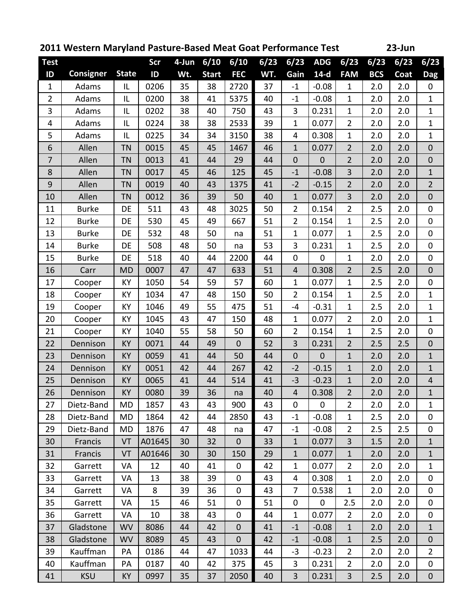| 2011 Western Maryland Pasture-Based Meat Goat Performance Test |                  |              |            |          |              |                |      |                  |                |                | 23-Jun     |      |                  |
|----------------------------------------------------------------|------------------|--------------|------------|----------|--------------|----------------|------|------------------|----------------|----------------|------------|------|------------------|
| <b>Test</b>                                                    |                  |              | <b>Scr</b> | $4$ -Jun | 6/10         | 6/10           | 6/23 | 6/23             | <b>ADG</b>     | 6/23           | 6/23       | 6/23 | 6/23             |
| ID                                                             | <b>Consigner</b> | <b>State</b> | ID         | Wt.      | <b>Start</b> | <b>FEC</b>     | WT.  | Gain             | $14-d$         | <b>FAM</b>     | <b>BCS</b> | Coat | <b>Dag</b>       |
| $\mathbf{1}$                                                   | Adams            | IL           | 0206       | 35       | 38           | 2720           | 37   | $-1$             | $-0.08$        | $\mathbf{1}$   | 2.0        | 2.0  | 0                |
| $\overline{2}$                                                 | Adams            | IL           | 0200       | 38       | 41           | 5375           | 40   | $-1$             | $-0.08$        | $\mathbf{1}$   | 2.0        | 2.0  | $\mathbf{1}$     |
| 3                                                              | Adams            | IL           | 0202       | 38       | 40           | 750            | 43   | 3                | 0.231          | $\mathbf{1}$   | 2.0        | 2.0  | $\mathbf{1}$     |
| 4                                                              | Adams            | IL           | 0224       | 38       | 38           | 2533           | 39   | $\mathbf{1}$     | 0.077          | $\overline{2}$ | 2.0        | 2.0  | $\mathbf{1}$     |
| 5                                                              | Adams            | IL           | 0225       | 34       | 34           | 3150           | 38   | 4                | 0.308          | $\mathbf{1}$   | 2.0        | 2.0  | $\mathbf{1}$     |
| 6                                                              | Allen            | <b>TN</b>    | 0015       | 45       | 45           | 1467           | 46   | $\mathbf{1}$     | 0.077          | $\overline{2}$ | 2.0        | 2.0  | $\mathbf 0$      |
| $\overline{7}$                                                 | Allen            | <b>TN</b>    | 0013       | 41       | 44           | 29             | 44   | $\boldsymbol{0}$ | $\mathbf{0}$   | $\overline{2}$ | 2.0        | 2.0  | $\mathbf{0}$     |
| 8                                                              | Allen            | <b>TN</b>    | 0017       | 45       | 46           | 125            | 45   | $-1$             | $-0.08$        | 3              | 2.0        | 2.0  | $\mathbf{1}$     |
| 9                                                              | Allen            | <b>TN</b>    | 0019       | 40       | 43           | 1375           | 41   | $-2$             | $-0.15$        | $\overline{2}$ | 2.0        | 2.0  | $\overline{2}$   |
| 10                                                             | Allen            | <b>TN</b>    | 0012       | 36       | 39           | 50             | 40   | $\mathbf{1}$     | 0.077          | 3              | 2.0        | 2.0  | $\mathbf 0$      |
| 11                                                             | <b>Burke</b>     | DE           | 511        | 43       | 48           | 3025           | 50   | $\overline{2}$   | 0.154          | $\overline{2}$ | 2.5        | 2.0  | 0                |
| 12                                                             | <b>Burke</b>     | DE           | 530        | 45       | 49           | 667            | 51   | $\overline{2}$   | 0.154          | $\mathbf{1}$   | 2.5        | 2.0  | $\mathbf 0$      |
| 13                                                             | <b>Burke</b>     | DE           | 532        | 48       | 50           | na             | 51   | $\mathbf{1}$     | 0.077          | $\mathbf{1}$   | 2.5        | 2.0  | $\mathbf 0$      |
| 14                                                             | <b>Burke</b>     | DE           | 508        | 48       | 50           | na             | 53   | 3                | 0.231          | $\mathbf{1}$   | 2.5        | 2.0  | 0                |
| 15                                                             | <b>Burke</b>     | DE           | 518        | 40       | 44           | 2200           | 44   | $\mathbf 0$      | $\mathbf{0}$   | $\mathbf{1}$   | 2.0        | 2.0  | $\mathbf 0$      |
| 16                                                             | Carr             | <b>MD</b>    | 0007       | 47       | 47           | 633            | 51   | 4                | 0.308          | $\overline{2}$ | 2.5        | 2.0  | $\mathbf 0$      |
| 17                                                             | Cooper           | KY           | 1050       | 54       | 59           | 57             | 60   | $\mathbf{1}$     | 0.077          | $\mathbf{1}$   | 2.5        | 2.0  | $\pmb{0}$        |
| 18                                                             | Cooper           | КY           | 1034       | 47       | 48           | 150            | 50   | $\overline{2}$   | 0.154          | $\mathbf{1}$   | 2.5        | 2.0  | $\mathbf{1}$     |
| 19                                                             | Cooper           | KY           | 1046       | 49       | 55           | 475            | 51   | -4               | $-0.31$        | $\mathbf{1}$   | 2.5        | 2.0  | $\mathbf{1}$     |
| 20                                                             | Cooper           | KY           | 1045       | 43       | 47           | 150            | 48   | $\mathbf{1}$     | 0.077          | $\overline{2}$ | 2.0        | 2.0  | $\mathbf{1}$     |
| 21                                                             | Cooper           | KY           | 1040       | 55       | 58           | 50             | 60   | $\overline{2}$   | 0.154          | $\mathbf{1}$   | 2.5        | 2.0  | $\mathbf 0$      |
| 22                                                             | Dennison         | KY           | 0071       | 44       | 49           | $\overline{0}$ | 52   | 3                | 0.231          | $\overline{2}$ | 2.5        | 2.5  | $\boldsymbol{0}$ |
| 23                                                             | Dennison         | KY           | 0059       | 41       | 44           | 50             | 44   | $\mathbf 0$      | $\overline{0}$ | $\mathbf{1}$   | 2.0        | 2.0  | $\mathbf{1}$     |
| 24                                                             | Dennison         | KY           | 0051       | 42       | 44           | 267            | 42   | $-2$             | $-0.15$        | $\mathbf{1}$   | 2.0        | 2.0  | $\mathbf{1}$     |
| 25                                                             | Dennison         | KY           | 0065       | 41       | 44           | 514            | 41   | $-3$             | $-0.23$        | $\mathbf 1$    | 2.0        | 2.0  | $\overline{4}$   |
| 26                                                             | Dennison         | <b>KY</b>    | 0080       | 39       | 36           | na             | 40   | $\overline{4}$   | 0.308          | $\overline{2}$ | 2.0        | 2.0  | 1                |
| 27                                                             | Dietz-Band       | <b>MD</b>    | 1857       | 43       | 43           | 900            | 43   | $\mathbf 0$      | $\mathbf 0$    | 2              | 2.0        | 2.0  | $\mathbf{1}$     |
| 28                                                             | Dietz-Band       | MD           | 1864       | 42       | 44           | 2850           | 43   | $-1$             | $-0.08$        | $\mathbf{1}$   | 2.5        | 2.0  | 0                |
| 29                                                             | Dietz-Band       | MD           | 1876       | 47       | 48           | na             | 47   | $-1$             | $-0.08$        | $\overline{2}$ | 2.5        | 2.5  | 0                |
| 30                                                             | Francis          | VT           | A01645     | 30       | 32           | $\mathbf 0$    | 33   | $\mathbf{1}$     | 0.077          | 3              | 1.5        | 2.0  | $\mathbf{1}$     |
| 31                                                             | Francis          | VT           | A01646     | 30       | 30           | 150            | 29   | $\mathbf{1}$     | 0.077          | $\mathbf{1}$   | 2.0        | 2.0  | $\mathbf{1}$     |
| 32                                                             | Garrett          | VA           | 12         | 40       | 41           | 0              | 42   | $\mathbf{1}$     | 0.077          | $\overline{2}$ | 2.0        | 2.0  | $\mathbf{1}$     |
| 33                                                             | Garrett          | VA           | 13         | 38       | 39           | 0              | 43   | 4                | 0.308          | $\mathbf{1}$   | 2.0        | 2.0  | $\mathbf 0$      |
| 34                                                             | Garrett          | VA           | 8          | 39       | 36           | $\mathbf 0$    | 43   | $\overline{7}$   | 0.538          | $\mathbf{1}$   | 2.0        | 2.0  | $\mathbf 0$      |
| 35                                                             | Garrett          | VA           | 15         | 46       | 51           | 0              | 51   | 0                | $\mathbf 0$    | 2.5            | 2.0        | 2.0  | 0                |
| 36                                                             | Garrett          | VA           | 10         | 38       | 43           | 0              | 44   | $\mathbf{1}$     | 0.077          | $\overline{2}$ | 2.0        | 2.0  | $\mathbf 0$      |
| 37                                                             | Gladstone        | <b>WV</b>    | 8086       | 44       | 42           | $\mathbf 0$    | 41   | $-1$             | $-0.08$        | $\mathbf{1}$   | 2.0        | 2.0  | $\mathbf{1}$     |
| 38                                                             | Gladstone        | <b>WV</b>    | 8089       | 45       | 43           | $\mathbf 0$    | 42   | $-1$             | $-0.08$        | $\mathbf{1}$   | 2.5        | 2.0  | $\boldsymbol{0}$ |
| 39                                                             | Kauffman         | PA           | 0186       | 44       | 47           | 1033           | 44   | $-3$             | $-0.23$        | 2              | 2.0        | 2.0  | $\overline{2}$   |
| 40                                                             | Kauffman         | PA           | 0187       | 40       | 42           | 375            | 45   | 3                | 0.231          | $\overline{2}$ | 2.0        | 2.0  | $\mathbf 0$      |
| 41                                                             | <b>KSU</b>       | KY           | 0997       | 35       | 37           | 2050           | 40   | $\overline{3}$   | 0.231          | $\overline{3}$ | 2.5        | 2.0  | $\mathbf{0}$     |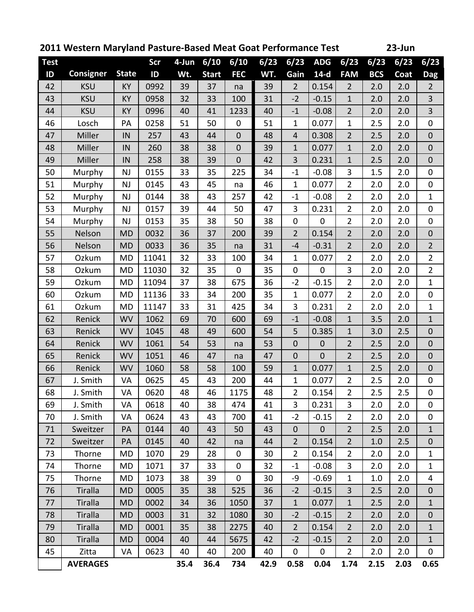| 2011 Western Maryland Pasture-Based Meat Goat Performance Test<br>23-Jun |                  |              |       |          |              |                |      |                |                |                |            |      |                  |
|--------------------------------------------------------------------------|------------------|--------------|-------|----------|--------------|----------------|------|----------------|----------------|----------------|------------|------|------------------|
| <b>Test</b>                                                              |                  |              | Scr   | $4$ -Jun | 6/10         | 6/10           | 6/23 | 6/23           | <b>ADG</b>     | 6/23           | 6/23       | 6/23 | 6/23             |
| ID                                                                       | <b>Consigner</b> | <b>State</b> | ID    | Wt.      | <b>Start</b> | <b>FEC</b>     | WT.  | Gain           | $14-d$         | <b>FAM</b>     | <b>BCS</b> | Coat | Dag              |
| 42                                                                       | <b>KSU</b>       | <b>KY</b>    | 0992  | 39       | 37           | na             | 39   | $\overline{2}$ | 0.154          | $\overline{2}$ | 2.0        | 2.0  | $\overline{2}$   |
| 43                                                                       | <b>KSU</b>       | <b>KY</b>    | 0958  | 32       | 33           | 100            | 31   | $-2$           | $-0.15$        | 1              | 2.0        | 2.0  | $\overline{3}$   |
| 44                                                                       | <b>KSU</b>       | <b>KY</b>    | 0996  | 40       | 41           | 1233           | 40   | $-1$           | $-0.08$        | $\overline{2}$ | 2.0        | 2.0  | $\overline{3}$   |
| 46                                                                       | Losch            | PA           | 0258  | 51       | 50           | $\mathbf 0$    | 51   | $\mathbf{1}$   | 0.077          | $\mathbf{1}$   | 2.5        | 2.0  | 0                |
| 47                                                                       | Miller           | IN           | 257   | 43       | 44           | $\overline{0}$ | 48   | $\overline{4}$ | 0.308          | $\overline{2}$ | 2.5        | 2.0  | $\mathbf 0$      |
| 48                                                                       | Miller           | IN           | 260   | 38       | 38           | $\mathbf 0$    | 39   | $\mathbf{1}$   | 0.077          | $\mathbf{1}$   | 2.0        | 2.0  | $\mathbf 0$      |
| 49                                                                       | Miller           | IN           | 258   | 38       | 39           | $\overline{0}$ | 42   | 3              | 0.231          | $\mathbf{1}$   | 2.5        | 2.0  | $\mathbf 0$      |
| 50                                                                       | Murphy           | <b>NJ</b>    | 0155  | 33       | 35           | 225            | 34   | $-1$           | $-0.08$        | 3              | 1.5        | 2.0  | 0                |
| 51                                                                       | Murphy           | NJ           | 0145  | 43       | 45           | na             | 46   | $\mathbf{1}$   | 0.077          | $\overline{2}$ | 2.0        | 2.0  | $\mathbf 0$      |
| 52                                                                       | Murphy           | <b>NJ</b>    | 0144  | 38       | 43           | 257            | 42   | $-1$           | $-0.08$        | $\overline{2}$ | 2.0        | 2.0  | $\mathbf{1}$     |
| 53                                                                       | Murphy           | NJ           | 0157  | 39       | 44           | 50             | 47   | 3              | 0.231          | $\overline{2}$ | 2.0        | 2.0  | 0                |
| 54                                                                       | Murphy           | NJ           | 0153  | 35       | 38           | 50             | 38   | 0              | $\mathbf 0$    | $\overline{2}$ | 2.0        | 2.0  | $\mathbf 0$      |
| 55                                                                       | Nelson           | <b>MD</b>    | 0032  | 36       | 37           | 200            | 39   | $\overline{2}$ | 0.154          | $\overline{2}$ | 2.0        | 2.0  | $\mathbf 0$      |
| 56                                                                       | Nelson           | <b>MD</b>    | 0033  | 36       | 35           | na             | 31   | $-4$           | $-0.31$        | $\overline{2}$ | 2.0        | 2.0  | $\overline{2}$   |
| 57                                                                       | Ozkum            | <b>MD</b>    | 11041 | 32       | 33           | 100            | 34   | $\mathbf{1}$   | 0.077          | $\overline{2}$ | 2.0        | 2.0  | $2 \overline{ }$ |
| 58                                                                       | Ozkum            | <b>MD</b>    | 11030 | 32       | 35           | 0              | 35   | $\mathbf 0$    | $\overline{0}$ | 3              | 2.0        | 2.0  | $\overline{2}$   |
| 59                                                                       | Ozkum            | <b>MD</b>    | 11094 | 37       | 38           | 675            | 36   | $-2$           | $-0.15$        | $\overline{2}$ | 2.0        | 2.0  | $\mathbf{1}$     |
| 60                                                                       | Ozkum            | <b>MD</b>    | 11136 | 33       | 34           | 200            | 35   | $\mathbf{1}$   | 0.077          | $\overline{2}$ | 2.0        | 2.0  | $\mathbf 0$      |
| 61                                                                       | Ozkum            | <b>MD</b>    | 11147 | 33       | 31           | 425            | 34   | 3              | 0.231          | $\overline{2}$ | 2.0        | 2.0  | $\mathbf{1}$     |
| 62                                                                       | Renick           | <b>WV</b>    | 1062  | 69       | 70           | 600            | 69   | $-1$           | $-0.08$        | $\mathbf{1}$   | 3.5        | 2.0  | $\mathbf{1}$     |
| 63                                                                       | Renick           | <b>WV</b>    | 1045  | 48       | 49           | 600            | 54   | 5              | 0.385          | $\mathbf{1}$   | 3.0        | 2.5  | $\mathbf 0$      |
| 64                                                                       | Renick           | <b>WV</b>    | 1061  | 54       | 53           | na             | 53   | $\mathbf 0$    | $\mathbf 0$    | $\overline{2}$ | 2.5        | 2.0  | $\boldsymbol{0}$ |
| 65                                                                       | Renick           | <b>WV</b>    | 1051  | 46       | 47           | na             | 47   | $\mathbf 0$    | $\overline{0}$ | $\overline{2}$ | 2.5        | 2.0  | $\mathbf{0}$     |
| 66                                                                       | Renick           | <b>WV</b>    | 1060  | 58       | 58           | 100            | 59   | $\mathbf{1}$   | 0.077          | $\mathbf{1}$   | 2.5        | 2.0  | $\mathbf 0$      |
| 67                                                                       | J. Smith         | VA           | 0625  | 45       | 43           | 200            | 44   | $\mathbf{1}$   | 0.077          | $\overline{2}$ | 2.5        | 2.0  | $\boldsymbol{0}$ |
| 68                                                                       | J. Smith         | VA           | 0620  | 48       | 46           | 1175           | 48   | $\overline{2}$ | 0.154          | $\overline{2}$ | 2.5        | 2.5  | 0                |
| 69                                                                       | J. Smith         | VA           | 0618  | 40       | 38           | 474            | 41   | 3              | 0.231          | 3              | 2.0        | 2.0  | $\mathbf 0$      |
| 70                                                                       | J. Smith         | VA           | 0624  | 43       | 43           | 700            | 41   | $-2$           | $-0.15$        | $\overline{2}$ | 2.0        | 2.0  | $\mathbf 0$      |
| 71                                                                       | Sweitzer         | PA           | 0144  | 40       | 43           | 50             | 43   | $\overline{0}$ | $\mathbf{0}$   | $\overline{2}$ | 2.5        | 2.0  | $\mathbf{1}$     |
| 72                                                                       | Sweitzer         | PA           | 0145  | 40       | 42           | na             | 44   | $\overline{2}$ | 0.154          | $\overline{2}$ | 1.0        | 2.5  | $\mathbf 0$      |
| 73                                                                       | Thorne           | <b>MD</b>    | 1070  | 29       | 28           | $\mathbf 0$    | 30   | $\overline{2}$ | 0.154          | $\overline{2}$ | 2.0        | 2.0  | $\mathbf{1}$     |
| 74                                                                       | Thorne           | MD           | 1071  | 37       | 33           | $\mathbf 0$    | 32   | $-1$           | $-0.08$        | 3              | 2.0        | 2.0  | $\mathbf{1}$     |
| 75                                                                       | Thorne           | <b>MD</b>    | 1073  | 38       | 39           | 0              | 30   | -9             | $-0.69$        | $\mathbf{1}$   | 1.0        | 2.0  | 4                |
| 76                                                                       | Tiralla          | <b>MD</b>    | 0005  | 35       | 38           | 525            | 36   | $-2$           | $-0.15$        | $\overline{3}$ | 2.5        | 2.0  | $\mathbf{0}$     |
| 77                                                                       | <b>Tiralla</b>   | <b>MD</b>    | 0002  | 34       | 36           | 1050           | 37   | $\mathbf{1}$   | 0.077          | $\mathbf{1}$   | 2.5        | 2.0  | $\mathbf{1}$     |
| 78                                                                       | <b>Tiralla</b>   | <b>MD</b>    | 0003  | 31       | 32           | 1080           | 30   | $-2$           | $-0.15$        | $\overline{2}$ | 2.0        | 2.0  | $\boldsymbol{0}$ |
| 79                                                                       | <b>Tiralla</b>   | <b>MD</b>    | 0001  | 35       | 38           | 2275           | 40   | $2^{\circ}$    | 0.154          | $\overline{2}$ | 2.0        | 2.0  | $\mathbf{1}$     |
| 80                                                                       | <b>Tiralla</b>   | <b>MD</b>    | 0004  | 40       | 44           | 5675           | 42   | $-2$           | $-0.15$        | $\overline{2}$ | 2.0        | 2.0  | $\mathbf{1}$     |
| 45                                                                       | Zitta            | VA           | 0623  | 40       | 40           | 200            | 40   | $\mathbf 0$    | $\mathbf 0$    | $\overline{2}$ | 2.0        | 2.0  | $\mathbf 0$      |
|                                                                          | <b>AVERAGES</b>  |              |       | 35.4     | 36.4         | 734            | 42.9 | 0.58           | 0.04           | 1.74           | 2.15       | 2.03 | 0.65             |